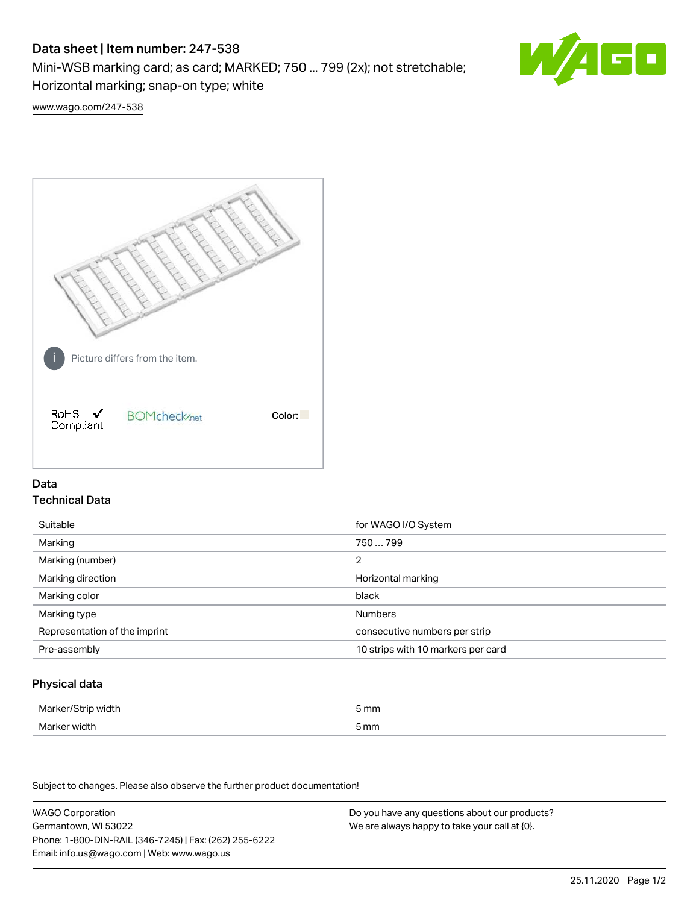# Data sheet | Item number: 247-538

Mini-WSB marking card; as card; MARKED; 750 ... 799 (2x); not stretchable;

Horizontal marking; snap-on type; white



[www.wago.com/247-538](http://www.wago.com/247-538)



## Data Technical Data

| Suitable                      | for WAGO I/O System                |
|-------------------------------|------------------------------------|
| Marking                       | 750  799                           |
| Marking (number)              | 2                                  |
| Marking direction             | Horizontal marking                 |
| Marking color                 | black                              |
| Marking type                  | <b>Numbers</b>                     |
| Representation of the imprint | consecutive numbers per strip      |
| Pre-assembly                  | 10 strips with 10 markers per card |

## Physical data

| Marker/Strip width                   | i mm<br>$-$ |
|--------------------------------------|-------------|
| Marker width<br>$\sim$ $\sim$ $\sim$ | 5 mm        |

Subject to changes. Please also observe the further product documentation!

WAGO Corporation Germantown, WI 53022 Phone: 1-800-DIN-RAIL (346-7245) | Fax: (262) 255-6222 Email: info.us@wago.com | Web: www.wago.us Do you have any questions about our products? We are always happy to take your call at {0}.